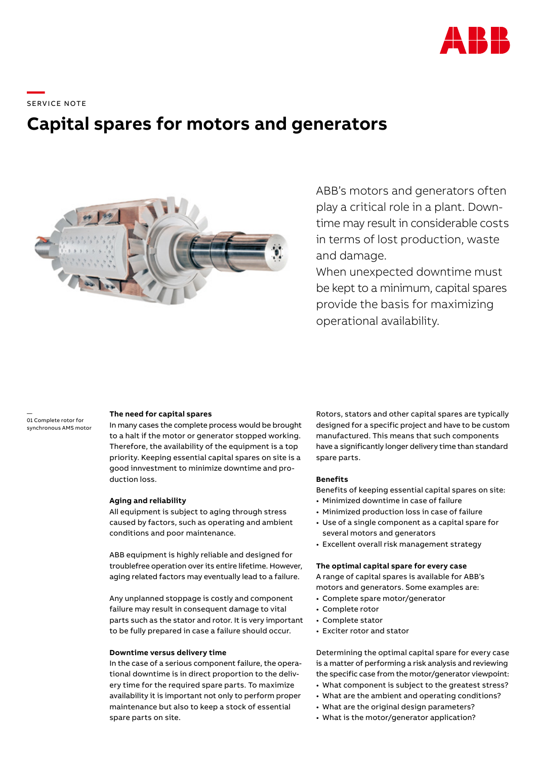

\_\_\_\_\_<br>SERVICE NOTE

# **Capital spares for motors and generators**



ABB's motors and generators often play a critical role in a plant. Downtime may result in considerable costs in terms of lost production, waste and damage.

When unexpected downtime must be kept to a minimum, capital spares provide the basis for maximizing operational availability.

— 01 Complete rotor for synchronous AMS motor

#### **The need for capital spares**

In many cases the complete process would be brought to a halt if the motor or generator stopped working. Therefore, the availability of the equipment is a top priority. Keeping essential capital spares on site is a good innvestment to minimize downtime and production loss.

#### **Aging and reliability**

All equipment is subject to aging through stress caused by factors, such as operating and ambient conditions and poor maintenance.

ABB equipment is highly reliable and designed for troublefree operation over its entire lifetime. However, aging related factors may eventually lead to a failure.

Any unplanned stoppage is costly and component failure may result in consequent damage to vital parts such as the stator and rotor. It is very important to be fully prepared in case a failure should occur.

#### **Downtime versus delivery time**

In the case of a serious component failure, the operational downtime is in direct proportion to the delivery time for the required spare parts. To maximize availability it is important not only to perform proper maintenance but also to keep a stock of essential spare parts on site.

Rotors, stators and other capital spares are typically designed for a specific project and have to be custom manufactured. This means that such components have a significantly longer delivery time than standard spare parts.

## **Benefits**

Benefits of keeping essential capital spares on site:

- Minimized downtime in case of failure
- Minimized production loss in case of failure
- Use of a single component as a capital spare for several motors and generators
- Excellent overall risk management strategy

#### **The optimal capital spare for every case**

A range of capital spares is available for ABB's motors and generators. Some examples are:

- Complete spare motor/generator
- Complete rotor
- Complete stator
- Exciter rotor and stator

Determining the optimal capital spare for every case is a matter of performing a risk analysis and reviewing the specific case from the motor/generator viewpoint:

- What component is subject to the greatest stress?
- What are the ambient and operating conditions? • What are the original design parameters?
- What is the motor/generator application?
-